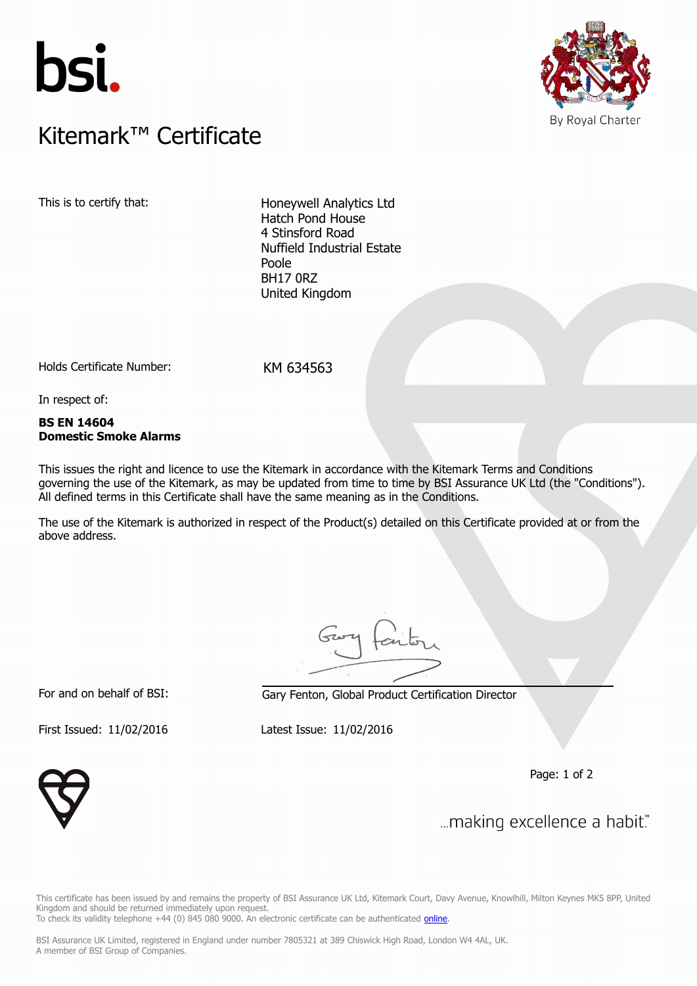



# $K$ itemark $W$  Certificate Kitemark™ Certificate

This is to certify that: Honeywell Analytics Ltd Hatch Pond House 4 Stinsford Road Nuffield Industrial Estate Poole BH17 0RZ United Kingdom

Holds Certificate Number: KM 634563

In respect of:

### **BS EN 14604 Domestic Smoke Alarms**

This issues the right and licence to use the Kitemark in accordance with the Kitemark Terms and Conditions governing the use of the Kitemark, as may be updated from time to time by BSI Assurance UK Ltd (the "Conditions"). All defined terms in this Certificate shall have the same meaning as in the Conditions.

The use of the Kitemark is authorized in respect of the Product(s) detailed on this Certificate provided at or from the above address.

For and on behalf of BSI: Gary Fenton, Global Product Certification Director

First Issued: 11/02/2016 Latest Issue: 11/02/2016

Page: 1 of 2



... making excellence a habit."

This certificate has been issued by and remains the property of BSI Assurance UK Ltd, Kitemark Court, Davy Avenue, Knowlhill, Milton Keynes MK5 8PP, United Kingdom and should be returned immediately upon request. To check its validity telephone +44 (0) 845 080 9000. An electronic certificate can be authenticated [online](https://pgplus.bsigroup.com/CertificateValidation/CertificateValidator.aspx?CertificateNumber=KM+634563&ReIssueDate=11%2f02%2f2016&Template=uk).

BSI Assurance UK Limited, registered in England under number 7805321 at 389 Chiswick High Road, London W4 4AL, UK. A member of BSI Group of Companies.